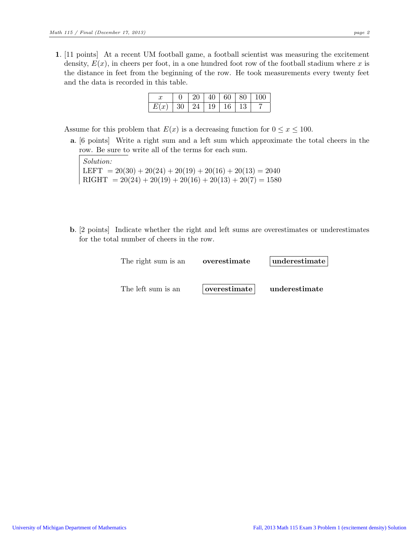1. [11 points] At a recent UM football game, a football scientist was measuring the excitement density,  $E(x)$ , in cheers per foot, in a one hundred foot row of the football stadium where x is the distance in feet from the beginning of the row. He took measurements every twenty feet and the data is recorded in this table.

|  |    |          | 20' | $40 \mid 60 \mid 80$ |  |  |
|--|----|----------|-----|----------------------|--|--|
|  | 30 | 24 19 16 |     |                      |  |  |

Assume for this problem that  $E(x)$  is a decreasing function for  $0 \le x \le 100$ .

a. [6 points] Write a right sum and a left sum which approximate the total cheers in the row. Be sure to write all of the terms for each sum.

Solution: LEFT =  $20(30) + 20(24) + 20(19) + 20(16) + 20(13) = 2040$  $RIGHT = 20(24) + 20(19) + 20(16) + 20(13) + 20(7) = 1580$ 

b. [2 points] Indicate whether the right and left sums are overestimates or underestimates for the total number of cheers in the row.

| The right sum is an | overestimate | underestimate |  |  |  |
|---------------------|--------------|---------------|--|--|--|
| The left sum is an  | overestimate | underestimate |  |  |  |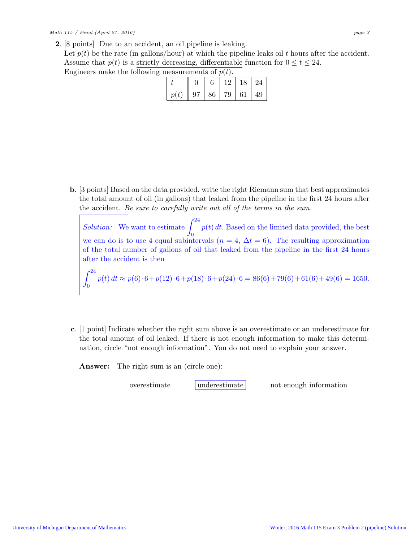2. [8 points] Due to an accident, an oil pipeline is leaking. Let  $p(t)$  be the rate (in gallons/hour) at which the pipeline leaks oil t hours after the accident. Assume that  $p(t)$  is a strictly decreasing, differentiable function for  $0 \le t \le 24$ . Engineers make the following measurements of  $p(t)$ .

| $\frac{1}{2}$ |  |                              |  |  |              |  |  |  |  |
|---------------|--|------------------------------|--|--|--------------|--|--|--|--|
|               |  | 6.                           |  |  | 12   18   24 |  |  |  |  |
| p(t)          |  | $97 \mid 86 \mid 79 \mid 61$ |  |  | $\mid$ 49    |  |  |  |  |

b. [3 points] Based on the data provided, write the right Riemann sum that best approximates the total amount of oil (in gallons) that leaked from the pipeline in the first 24 hours after the accident. *Be sure to carefully write out all of the terms in the sum.*

*Solution:* We want to estimate  $\int_0^{24} p(t) dt$ . Based on the limited data provided, the best we can do is to use 4 equal subintervals ( $n = 4$ ,  $\Delta t = 6$ ). The resulting approximation of the total number of gallons of oil that leaked from the pipeline in the first 24 hours after the accident is then  $\overline{24}$ 

$$
\int_0^{24} p(t) dt \approx p(6) \cdot 6 + p(12) \cdot 6 + p(18) \cdot 6 + p(24) \cdot 6 = 86(6) + 79(6) + 61(6) + 49(6) = 1650.
$$

c. [1 point] Indicate whether the right sum above is an overestimate or an underestimate for the total amount of oil leaked. If there is not enough information to make this determination, circle "not enough information". You do not need to explain your answer.

Answer: The right sum is an (circle one):

overestimate underestimate not enough information